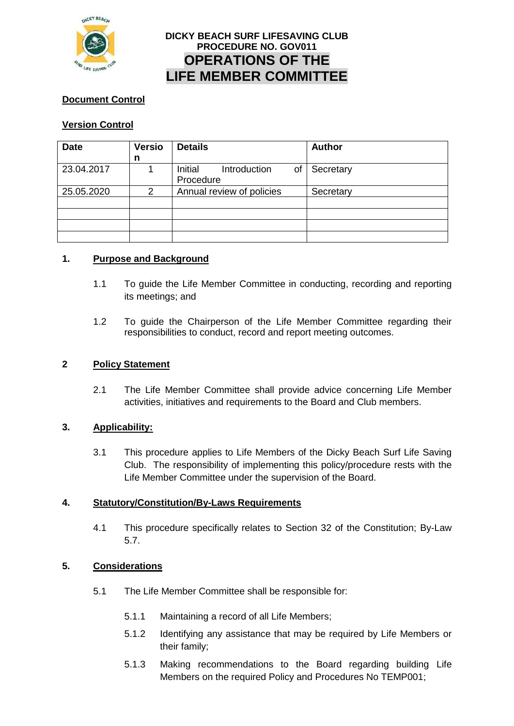

## **DICKY BEACH SURF LIFESAVING CLUB PROCEDURE NO. GOV011 OPERATIONS OF THE LIFE MEMBER COMMITTEE**

## **Document Control**

## **Version Control**

| <b>Date</b> | <b>Versio</b> | <b>Details</b>                             | <b>Author</b> |
|-------------|---------------|--------------------------------------------|---------------|
|             | n             |                                            |               |
| 23.04.2017  |               | Initial<br>Introduction<br>of<br>Procedure | Secretary     |
| 25.05.2020  | $\mathcal{P}$ | Annual review of policies                  | Secretary     |
|             |               |                                            |               |
|             |               |                                            |               |
|             |               |                                            |               |
|             |               |                                            |               |

#### **1. Purpose and Background**

- 1.1 To guide the Life Member Committee in conducting, recording and reporting its meetings; and
- 1.2 To guide the Chairperson of the Life Member Committee regarding their responsibilities to conduct, record and report meeting outcomes.

#### **2 Policy Statement**

2.1 The Life Member Committee shall provide advice concerning Life Member activities, initiatives and requirements to the Board and Club members.

#### **3. Applicability:**

3.1 This procedure applies to Life Members of the Dicky Beach Surf Life Saving Club. The responsibility of implementing this policy/procedure rests with the Life Member Committee under the supervision of the Board.

#### **4. Statutory/Constitution/By-Laws Requirements**

4.1 This procedure specifically relates to Section 32 of the Constitution; By-Law 5.7.

### **5. Considerations**

- 5.1 The Life Member Committee shall be responsible for:
	- 5.1.1 Maintaining a record of all Life Members;
	- 5.1.2 Identifying any assistance that may be required by Life Members or their family;
	- 5.1.3 Making recommendations to the Board regarding building Life Members on the required Policy and Procedures No TEMP001;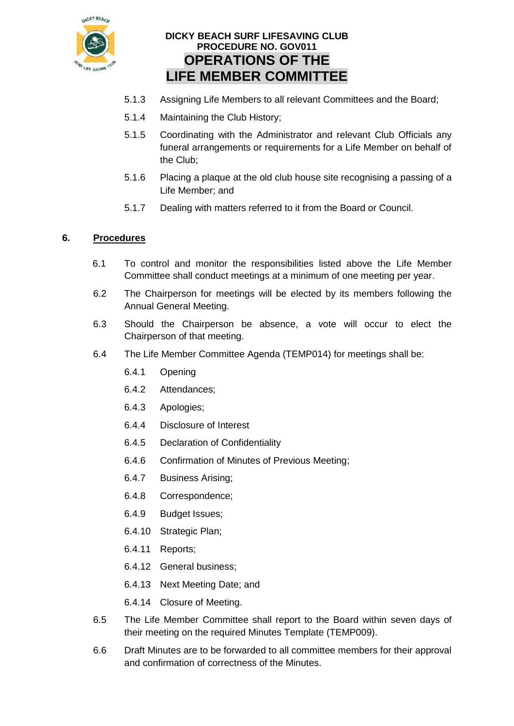

# **DICKY BEACH SURF LIFESAVING CLUB PROCEDURE NO. GOV011 OPERATIONS OF THE LIFE MEMBER COMMITTEE**

- 5.1.3 Assigning Life Members to all relevant Committees and the Board;
- 5.1.4 Maintaining the Club History;
- 5.1.5 Coordinating with the Administrator and relevant Club Officials any funeral arrangements or requirements for a Life Member on behalf of the Club;
- 5.1.6 Placing a plaque at the old club house site recognising a passing of a Life Member; and
- 5.1.7 Dealing with matters referred to it from the Board or Council.

## **6. Procedures**

- 6.1 To control and monitor the responsibilities listed above the Life Member Committee shall conduct meetings at a minimum of one meeting per year.
- 6.2 The Chairperson for meetings will be elected by its members following the Annual General Meeting.
- 6.3 Should the Chairperson be absence, a vote will occur to elect the Chairperson of that meeting.
- 6.4 The Life Member Committee Agenda (TEMP014) for meetings shall be:
	- 6.4.1 Opening
	- 6.4.2 Attendances;
	- 6.4.3 Apologies;
	- 6.4.4 Disclosure of Interest
	- 6.4.5 Declaration of Confidentiality
	- 6.4.6 Confirmation of Minutes of Previous Meeting;
	- 6.4.7 Business Arising;
	- 6.4.8 Correspondence;
	- 6.4.9 Budget Issues;
	- 6.4.10 Strategic Plan;
	- 6.4.11 Reports;
	- 6.4.12 General business;
	- 6.4.13 Next Meeting Date; and
	- 6.4.14 Closure of Meeting.
- 6.5 The Life Member Committee shall report to the Board within seven days of their meeting on the required Minutes Template (TEMP009).
- 6.6 Draft Minutes are to be forwarded to all committee members for their approval and confirmation of correctness of the Minutes.